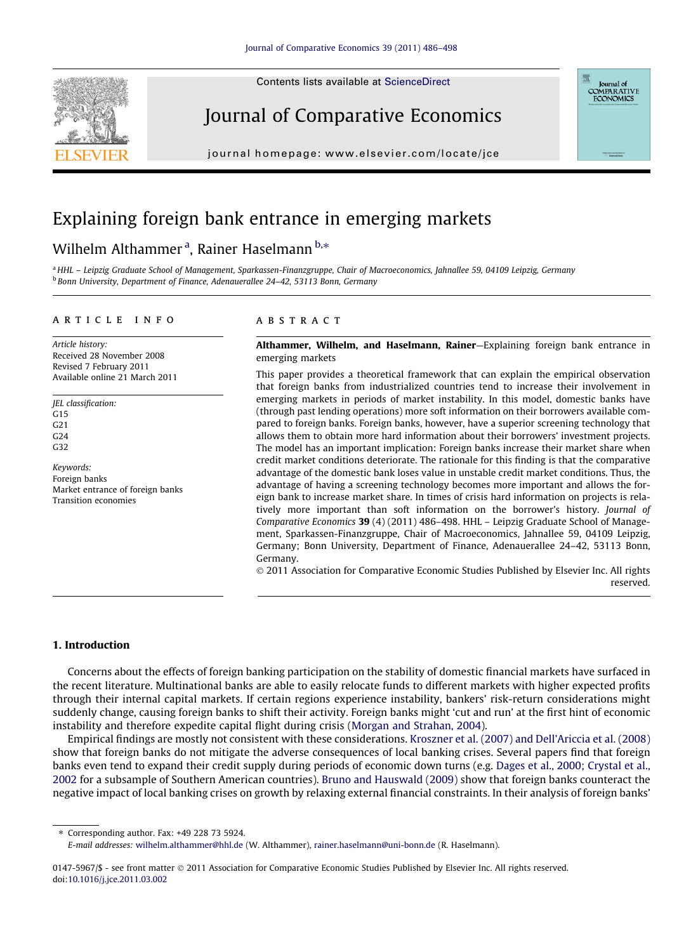Contents lists available at [ScienceDirect](http://www.sciencedirect.com/science/journal/01475967)





h Journal of<br>COMPARATIVE<br>ECONOMICS

journal homepage: [www.elsevier.com/locate/jce](http://www.elsevier.com/locate/jce)

# Explaining foreign bank entrance in emerging markets

# Wilhelm Althammer<sup>a</sup>, Rainer Haselmann <sup>b,\*</sup>

<sup>a</sup> HHL – Leipzig Graduate School of Management, Sparkassen-Finanzgruppe, Chair of Macroeconomics, Jahnallee 59, 04109 Leipzig, Germany <sup>b</sup> Bonn University, Department of Finance, Adenauerallee 24–42, 53113 Bonn, Germany

### article info

Article history: Received 28 November 2008 Revised 7 February 2011 Available online 21 March 2011

JEL classification: G15 G21  $C<sub>24</sub>$ G32

Keywords: Foreign banks Market entrance of foreign banks Transition economies

### **ABSTRACT**

Althammer, Wilhelm, and Haselmann, Rainer—Explaining foreign bank entrance in emerging markets

This paper provides a theoretical framework that can explain the empirical observation that foreign banks from industrialized countries tend to increase their involvement in emerging markets in periods of market instability. In this model, domestic banks have (through past lending operations) more soft information on their borrowers available compared to foreign banks. Foreign banks, however, have a superior screening technology that allows them to obtain more hard information about their borrowers' investment projects. The model has an important implication: Foreign banks increase their market share when credit market conditions deteriorate. The rationale for this finding is that the comparative advantage of the domestic bank loses value in unstable credit market conditions. Thus, the advantage of having a screening technology becomes more important and allows the foreign bank to increase market share. In times of crisis hard information on projects is relatively more important than soft information on the borrower's history. Journal of Comparative Economics 39 (4) (2011) 486–498. HHL – Leipzig Graduate School of Management, Sparkassen-Finanzgruppe, Chair of Macroeconomics, Jahnallee 59, 04109 Leipzig, Germany; Bonn University, Department of Finance, Adenauerallee 24–42, 53113 Bonn, Germany.

© 2011 Association for Comparative Economic Studies Published by Elsevier Inc. All rights reserved.

# 1. Introduction

Concerns about the effects of foreign banking participation on the stability of domestic financial markets have surfaced in the recent literature. Multinational banks are able to easily relocate funds to different markets with higher expected profits through their internal capital markets. If certain regions experience instability, bankers' risk-return considerations might suddenly change, causing foreign banks to shift their activity. Foreign banks might 'cut and run' at the first hint of economic instability and therefore expedite capital flight during crisis [\(Morgan and Strahan, 2004](#page--1-0)).

Empirical findings are mostly not consistent with these considerations. [Kroszner et al. \(2007\) and Dell'Ariccia et al. \(2008\)](#page--1-0) show that foreign banks do not mitigate the adverse consequences of local banking crises. Several papers find that foreign banks even tend to expand their credit supply during periods of economic down turns (e.g. [Dages et al., 2000; Crystal et al.,](#page--1-0) [2002](#page--1-0) for a subsample of Southern American countries). [Bruno and Hauswald \(2009\)](#page--1-0) show that foreign banks counteract the negative impact of local banking crises on growth by relaxing external financial constraints. In their analysis of foreign banks'

⇑ Corresponding author. Fax: +49 228 73 5924.

E-mail addresses: [wilhelm.althammer@hhl.de](mailto:wilhelm.althammer@hhl.de) (W. Althammer), [rainer.haselmann@uni-bonn.de](mailto:rainer.haselmann@uni-bonn.de) (R. Haselmann).

<sup>0147-5967/\$ -</sup> see front matter © 2011 Association for Comparative Economic Studies Published by Elsevier Inc. All rights reserved. doi[:10.1016/j.jce.2011.03.002](http://dx.doi.org/10.1016/j.jce.2011.03.002)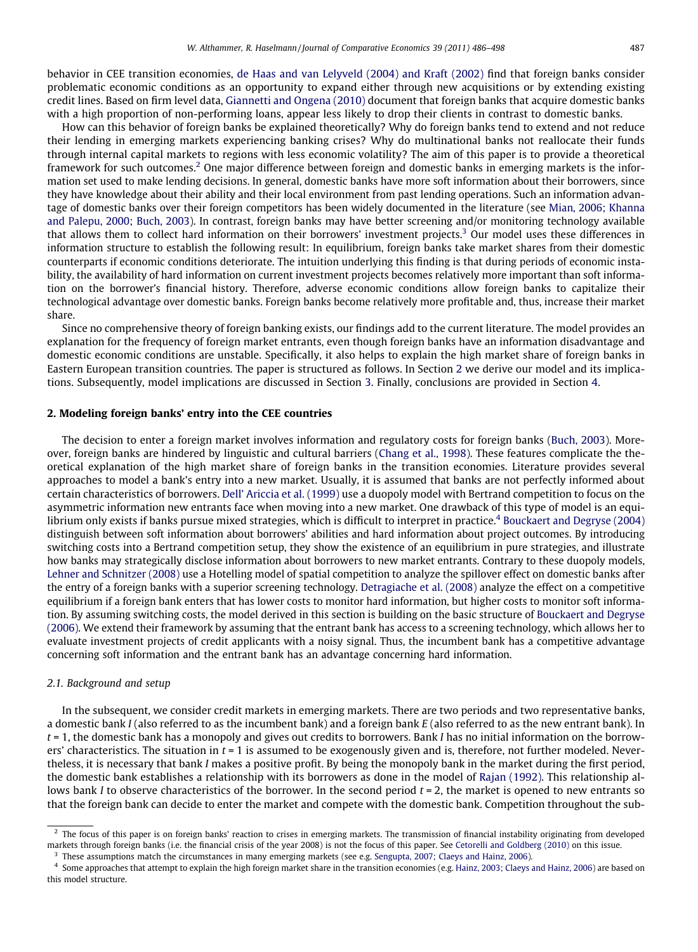behavior in CEE transition economies, [de Haas and van Lelyveld \(2004\) and Kraft \(2002\)](#page--1-0) find that foreign banks consider problematic economic conditions as an opportunity to expand either through new acquisitions or by extending existing credit lines. Based on firm level data, [Giannetti and Ongena \(2010\)](#page--1-0) document that foreign banks that acquire domestic banks with a high proportion of non-performing loans, appear less likely to drop their clients in contrast to domestic banks.

How can this behavior of foreign banks be explained theoretically? Why do foreign banks tend to extend and not reduce their lending in emerging markets experiencing banking crises? Why do multinational banks not reallocate their funds through internal capital markets to regions with less economic volatility? The aim of this paper is to provide a theoretical framework for such outcomes.<sup>2</sup> One major difference between foreign and domestic banks in emerging markets is the information set used to make lending decisions. In general, domestic banks have more soft information about their borrowers, since they have knowledge about their ability and their local environment from past lending operations. Such an information advantage of domestic banks over their foreign competitors has been widely documented in the literature (see [Mian, 2006; Khanna](#page--1-0) [and Palepu, 2000; Buch, 2003](#page--1-0)). In contrast, foreign banks may have better screening and/or monitoring technology available that allows them to collect hard information on their borrowers' investment projects.<sup>3</sup> Our model uses these differences in information structure to establish the following result: In equilibrium, foreign banks take market shares from their domestic counterparts if economic conditions deteriorate. The intuition underlying this finding is that during periods of economic instability, the availability of hard information on current investment projects becomes relatively more important than soft information on the borrower's financial history. Therefore, adverse economic conditions allow foreign banks to capitalize their technological advantage over domestic banks. Foreign banks become relatively more profitable and, thus, increase their market share.

Since no comprehensive theory of foreign banking exists, our findings add to the current literature. The model provides an explanation for the frequency of foreign market entrants, even though foreign banks have an information disadvantage and domestic economic conditions are unstable. Specifically, it also helps to explain the high market share of foreign banks in Eastern European transition countries. The paper is structured as follows. In Section 2 we derive our model and its implications. Subsequently, model implications are discussed in Section 3. Finally, conclusions are provided in Section 4.

## 2. Modeling foreign banks' entry into the CEE countries

The decision to enter a foreign market involves information and regulatory costs for foreign banks [\(Buch, 2003](#page--1-0)). Moreover, foreign banks are hindered by linguistic and cultural barriers ([Chang et al., 1998\)](#page--1-0). These features complicate the theoretical explanation of the high market share of foreign banks in the transition economies. Literature provides several approaches to model a bank's entry into a new market. Usually, it is assumed that banks are not perfectly informed about certain characteristics of borrowers. [Dell' Ariccia et al. \(1999\)](#page--1-0) use a duopoly model with Bertrand competition to focus on the asymmetric information new entrants face when moving into a new market. One drawback of this type of model is an equi-librium only exists if banks pursue mixed strategies, which is difficult to interpret in practice.<sup>4</sup> [Bouckaert and Degryse \(2004\)](#page--1-0) distinguish between soft information about borrowers' abilities and hard information about project outcomes. By introducing switching costs into a Bertrand competition setup, they show the existence of an equilibrium in pure strategies, and illustrate how banks may strategically disclose information about borrowers to new market entrants. Contrary to these duopoly models, [Lehner and Schnitzer \(2008\)](#page--1-0) use a Hotelling model of spatial competition to analyze the spillover effect on domestic banks after the entry of a foreign banks with a superior screening technology. [Detragiache et al. \(2008\)](#page--1-0) analyze the effect on a competitive equilibrium if a foreign bank enters that has lower costs to monitor hard information, but higher costs to monitor soft information. By assuming switching costs, the model derived in this section is building on the basic structure of [Bouckaert and Degryse](#page--1-0) [\(2006\)](#page--1-0). We extend their framework by assuming that the entrant bank has access to a screening technology, which allows her to evaluate investment projects of credit applicants with a noisy signal. Thus, the incumbent bank has a competitive advantage concerning soft information and the entrant bank has an advantage concerning hard information.

## 2.1. Background and setup

In the subsequent, we consider credit markets in emerging markets. There are two periods and two representative banks, a domestic bank I (also referred to as the incumbent bank) and a foreign bank E (also referred to as the new entrant bank). In  $t = 1$ , the domestic bank has a monopoly and gives out credits to borrowers. Bank I has no initial information on the borrowers' characteristics. The situation in  $t = 1$  is assumed to be exogenously given and is, therefore, not further modeled. Nevertheless, it is necessary that bank I makes a positive profit. By being the monopoly bank in the market during the first period, the domestic bank establishes a relationship with its borrowers as done in the model of [Rajan \(1992\).](#page--1-0) This relationship allows bank I to observe characteristics of the borrower. In the second period  $t = 2$ , the market is opened to new entrants so that the foreign bank can decide to enter the market and compete with the domestic bank. Competition throughout the sub-

 $2$  The focus of this paper is on foreign banks' reaction to crises in emerging markets. The transmission of financial instability originating from developed markets through foreign banks (i.e. the financial crisis of the year 2008) is not the focus of this paper. See [Cetorelli and Goldberg \(2010\)](#page--1-0) on this issue.

<sup>&</sup>lt;sup>3</sup> These assumptions match the circumstances in many emerging markets (see e.g. [Sengupta, 2007; Claeys and Hainz, 2006\)](#page--1-0).

<sup>&</sup>lt;sup>4</sup> Some approaches that attempt to explain the high foreign market share in the transition economies (e.g. [Hainz, 2003; Claeys and Hainz, 2006](#page--1-0)) are based on this model structure.